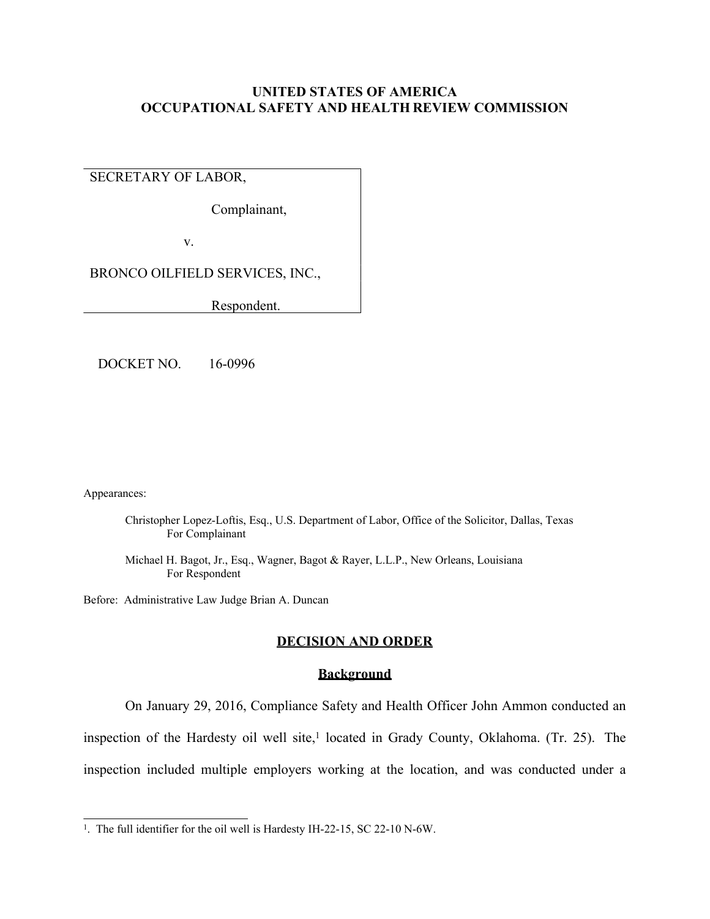## **UNITED STATES OF AMERICA OCCUPATIONAL SAFETY AND HEALTH REVIEW COMMISSION**

# SECRETARY OF LABOR,

Complainant,

v.

BRONCO OILFIELD SERVICES, INC.,

Respondent.

DOCKET NO. 16-0996

Appearances:

Christopher Lopez-Loftis, Esq., U.S. Department of Labor, Office of the Solicitor, Dallas, Texas For Complainant

Michael H. Bagot, Jr., Esq., Wagner, Bagot & Rayer, L.L.P., New Orleans, Louisiana For Respondent

Before: Administrative Law Judge Brian A. Duncan

#### **DECISION AND ORDER**

#### **Background**

On January 29, 2016, Compliance Safety and Health Officer John Ammon conducted an inspection of the Hardesty oil well site,<sup>1</sup> located in Grady County, Oklahoma. (Tr. 25). The inspection included multiple employers working at the location, and was conducted under a

<sup>&</sup>lt;sup>1</sup>. The full identifier for the oil well is Hardesty IH-22-15, SC 22-10 N-6W.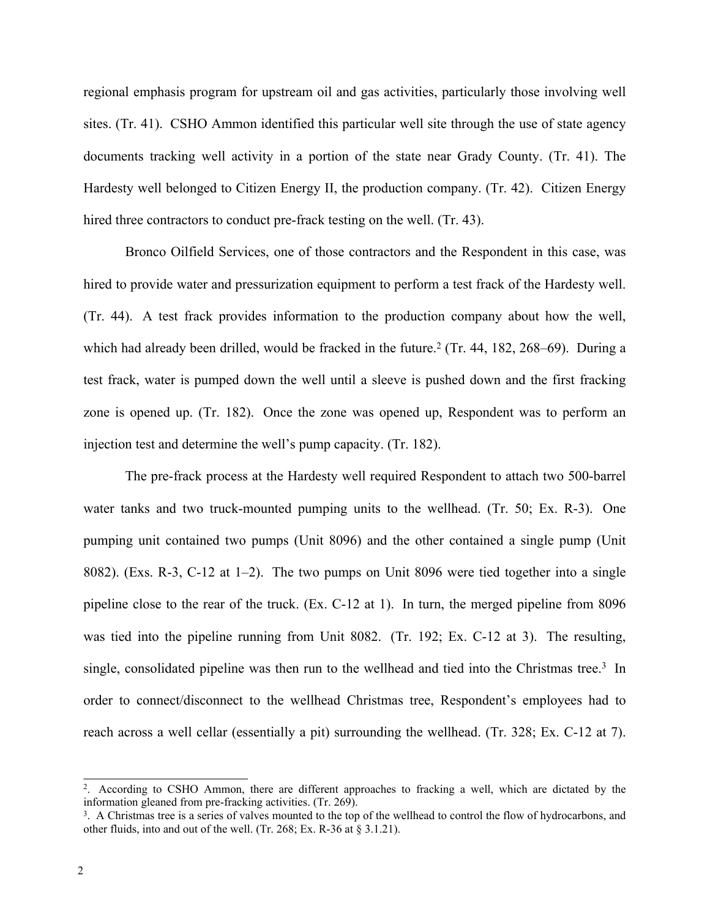regional emphasis program for upstream oil and gas activities, particularly those involving well sites. (Tr. 41). CSHO Ammon identified this particular well site through the use of state agency documents tracking well activity in a portion of the state near Grady County. (Tr. 41). The Hardesty well belonged to Citizen Energy II, the production company. (Tr. 42). Citizen Energy hired three contractors to conduct pre-frack testing on the well. (Tr. 43).

Bronco Oilfield Services, one of those contractors and the Respondent in this case, was hired to provide water and pressurization equipment to perform a test frack of the Hardesty well. (Tr. 44). A test frack provides information to the production company about how the well, which had already been drilled, would be fracked in the future.<sup>2</sup> (Tr. 44, 182, 268–69). During a test frack, water is pumped down the well until a sleeve is pushed down and the first fracking zone is opened up. (Tr. 182). Once the zone was opened up, Respondent was to perform an injection test and determine the well's pump capacity. (Tr. 182).

The pre-frack process at the Hardesty well required Respondent to attach two 500-barrel water tanks and two truck-mounted pumping units to the wellhead. (Tr. 50; Ex. R-3). One pumping unit contained two pumps (Unit 8096) and the other contained a single pump (Unit 8082). (Exs. R-3, C-12 at 1–2). The two pumps on Unit 8096 were tied together into a single pipeline close to the rear of the truck. (Ex. C-12 at 1). In turn, the merged pipeline from 8096 was tied into the pipeline running from Unit 8082. (Tr. 192; Ex. C-12 at 3). The resulting, single, consolidated pipeline was then run to the wellhead and tied into the Christmas tree.<sup>3</sup> In order to connect/disconnect to the wellhead Christmas tree, Respondent's employees had to reach across a well cellar (essentially a pit) surrounding the wellhead. (Tr. 328; Ex. C-12 at 7).

<sup>2</sup> . According to CSHO Ammon, there are different approaches to fracking a well, which are dictated by the information gleaned from pre-fracking activities. (Tr. 269).

<sup>3</sup> . A Christmas tree is a series of valves mounted to the top of the wellhead to control the flow of hydrocarbons, and other fluids, into and out of the well. (Tr. 268; Ex. R-36 at § 3.1.21).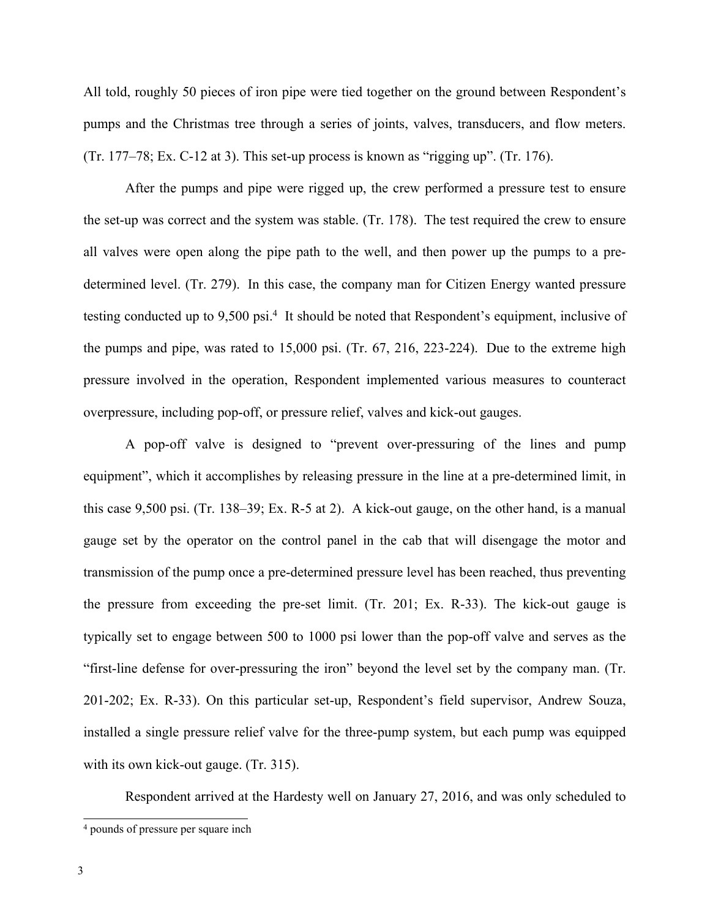All told, roughly 50 pieces of iron pipe were tied together on the ground between Respondent's pumps and the Christmas tree through a series of joints, valves, transducers, and flow meters. (Tr. 177–78; Ex. C-12 at 3). This set-up process is known as "rigging up". (Tr. 176).

After the pumps and pipe were rigged up, the crew performed a pressure test to ensure the set-up was correct and the system was stable. (Tr. 178). The test required the crew to ensure all valves were open along the pipe path to the well, and then power up the pumps to a predetermined level. (Tr. 279). In this case, the company man for Citizen Energy wanted pressure testing conducted up to 9,500 psi.<sup>4</sup> It should be noted that Respondent's equipment, inclusive of the pumps and pipe, was rated to 15,000 psi. (Tr. 67, 216, 223-224). Due to the extreme high pressure involved in the operation, Respondent implemented various measures to counteract overpressure, including pop-off, or pressure relief, valves and kick-out gauges.

A pop-off valve is designed to "prevent over-pressuring of the lines and pump equipment", which it accomplishes by releasing pressure in the line at a pre-determined limit, in this case 9,500 psi. (Tr. 138–39; Ex. R-5 at 2). A kick-out gauge, on the other hand, is a manual gauge set by the operator on the control panel in the cab that will disengage the motor and transmission of the pump once a pre-determined pressure level has been reached, thus preventing the pressure from exceeding the pre-set limit. (Tr. 201; Ex. R-33). The kick-out gauge is typically set to engage between 500 to 1000 psi lower than the pop-off valve and serves as the "first-line defense for over-pressuring the iron" beyond the level set by the company man. (Tr. 201-202; Ex. R-33). On this particular set-up, Respondent's field supervisor, Andrew Souza, installed a single pressure relief valve for the three-pump system, but each pump was equipped with its own kick-out gauge. (Tr. 315).

Respondent arrived at the Hardesty well on January 27, 2016, and was only scheduled to

<sup>4</sup> pounds of pressure per square inch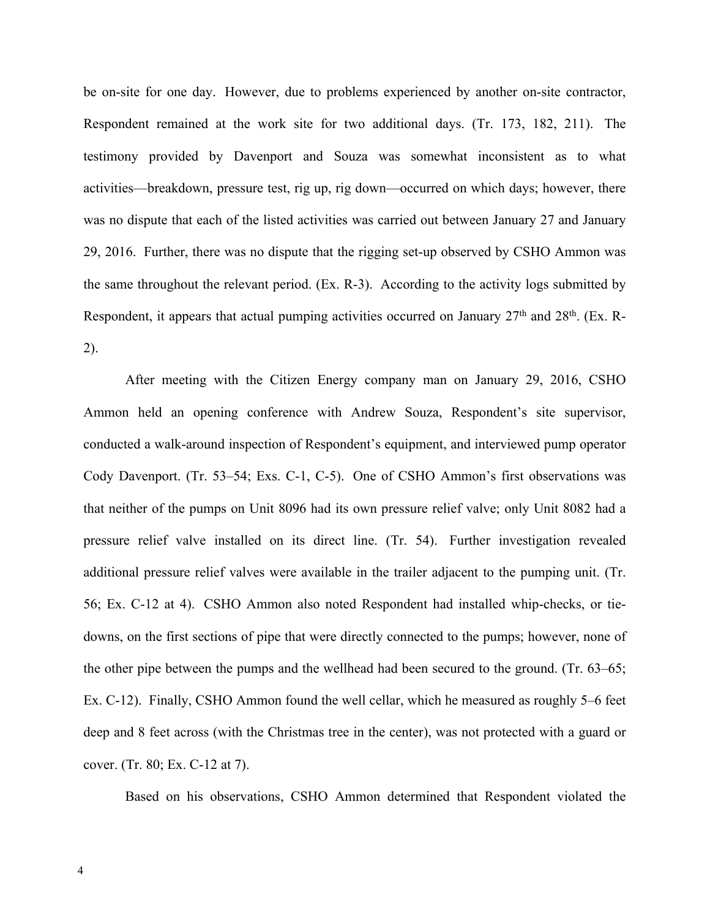be on-site for one day. However, due to problems experienced by another on-site contractor, Respondent remained at the work site for two additional days. (Tr. 173, 182, 211). The testimony provided by Davenport and Souza was somewhat inconsistent as to what activities—breakdown, pressure test, rig up, rig down—occurred on which days; however, there was no dispute that each of the listed activities was carried out between January 27 and January 29, 2016. Further, there was no dispute that the rigging set-up observed by CSHO Ammon was the same throughout the relevant period. (Ex. R-3). According to the activity logs submitted by Respondent, it appears that actual pumping activities occurred on January 27<sup>th</sup> and 28<sup>th</sup>. (Ex. R-2).

After meeting with the Citizen Energy company man on January 29, 2016, CSHO Ammon held an opening conference with Andrew Souza, Respondent's site supervisor, conducted a walk-around inspection of Respondent's equipment, and interviewed pump operator Cody Davenport. (Tr. 53–54; Exs. C-1, C-5). One of CSHO Ammon's first observations was that neither of the pumps on Unit 8096 had its own pressure relief valve; only Unit 8082 had a pressure relief valve installed on its direct line. (Tr. 54). Further investigation revealed additional pressure relief valves were available in the trailer adjacent to the pumping unit. (Tr. 56; Ex. C-12 at 4). CSHO Ammon also noted Respondent had installed whip-checks, or tiedowns, on the first sections of pipe that were directly connected to the pumps; however, none of the other pipe between the pumps and the wellhead had been secured to the ground. (Tr. 63–65; Ex. C-12). Finally, CSHO Ammon found the well cellar, which he measured as roughly 5–6 feet deep and 8 feet across (with the Christmas tree in the center), was not protected with a guard or cover. (Tr. 80; Ex. C-12 at 7).

Based on his observations, CSHO Ammon determined that Respondent violated the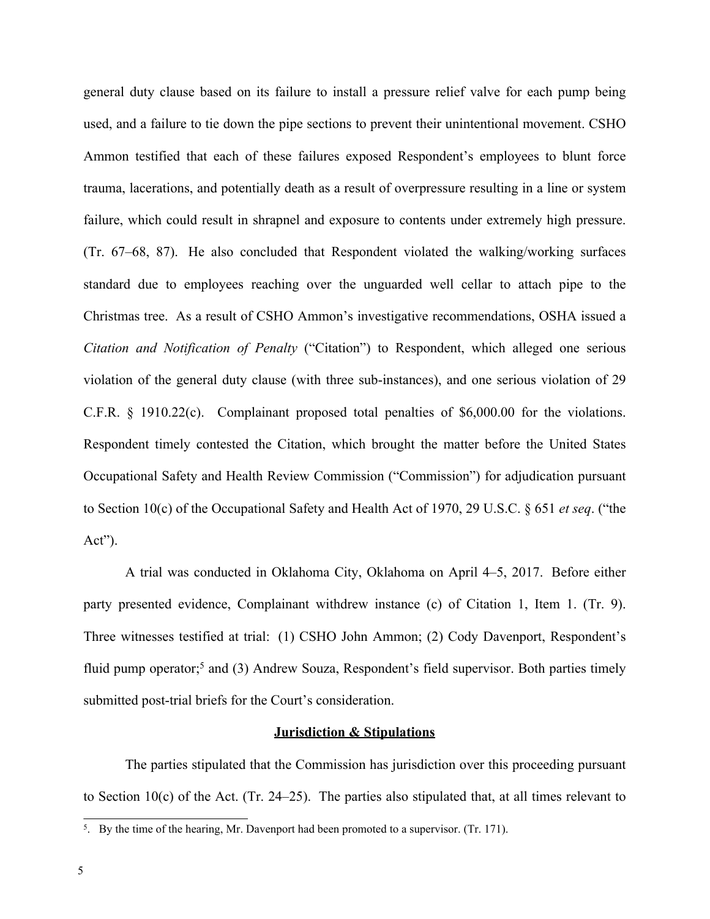general duty clause based on its failure to install a pressure relief valve for each pump being used, and a failure to tie down the pipe sections to prevent their unintentional movement. CSHO Ammon testified that each of these failures exposed Respondent's employees to blunt force trauma, lacerations, and potentially death as a result of overpressure resulting in a line or system failure, which could result in shrapnel and exposure to contents under extremely high pressure. (Tr. 67–68, 87). He also concluded that Respondent violated the walking/working surfaces standard due to employees reaching over the unguarded well cellar to attach pipe to the Christmas tree. As a result of CSHO Ammon's investigative recommendations, OSHA issued a *Citation and Notification of Penalty* ("Citation") to Respondent, which alleged one serious violation of the general duty clause (with three sub-instances), and one serious violation of 29 C.F.R. § 1910.22(c). Complainant proposed total penalties of \$6,000.00 for the violations. Respondent timely contested the Citation, which brought the matter before the United States Occupational Safety and Health Review Commission ("Commission") for adjudication pursuant to Section 10(c) of the Occupational Safety and Health Act of 1970, 29 U.S.C. § 651 *et seq*. ("the Act").

A trial was conducted in Oklahoma City, Oklahoma on April 4–5, 2017. Before either party presented evidence, Complainant withdrew instance (c) of Citation 1, Item 1. (Tr. 9). Three witnesses testified at trial: (1) CSHO John Ammon; (2) Cody Davenport, Respondent's fluid pump operator;<sup>5</sup> and (3) Andrew Souza, Respondent's field supervisor. Both parties timely submitted post-trial briefs for the Court's consideration.

#### **Jurisdiction & Stipulations**

The parties stipulated that the Commission has jurisdiction over this proceeding pursuant to Section 10(c) of the Act. (Tr. 24–25). The parties also stipulated that, at all times relevant to

<sup>5</sup> . By the time of the hearing, Mr. Davenport had been promoted to a supervisor. (Tr. 171).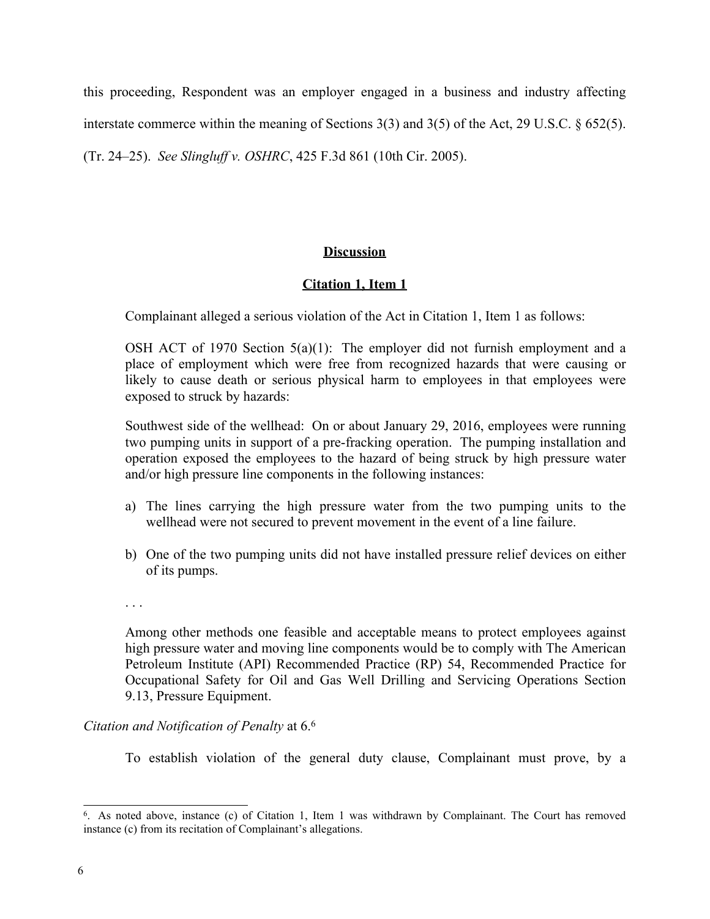this proceeding, Respondent was an employer engaged in a business and industry affecting interstate commerce within the meaning of Sections 3(3) and 3(5) of the Act, 29 U.S.C. § 652(5).

(Tr. 24–25). *See Slingluff v. OSHRC*, 425 F.3d 861 (10th Cir. 2005).

# **Discussion**

# **Citation 1, Item 1**

Complainant alleged a serious violation of the Act in Citation 1, Item 1 as follows:

OSH ACT of 1970 Section 5(a)(1): The employer did not furnish employment and a place of employment which were free from recognized hazards that were causing or likely to cause death or serious physical harm to employees in that employees were exposed to struck by hazards:

Southwest side of the wellhead: On or about January 29, 2016, employees were running two pumping units in support of a pre-fracking operation. The pumping installation and operation exposed the employees to the hazard of being struck by high pressure water and/or high pressure line components in the following instances:

- a) The lines carrying the high pressure water from the two pumping units to the wellhead were not secured to prevent movement in the event of a line failure.
- b) One of the two pumping units did not have installed pressure relief devices on either of its pumps.
- . . .

Among other methods one feasible and acceptable means to protect employees against high pressure water and moving line components would be to comply with The American Petroleum Institute (API) Recommended Practice (RP) 54, Recommended Practice for Occupational Safety for Oil and Gas Well Drilling and Servicing Operations Section 9.13, Pressure Equipment.

# *Citation and Notification of Penalty* at 6. 6

To establish violation of the general duty clause, Complainant must prove, by a

<sup>6</sup> . As noted above, instance (c) of Citation 1, Item 1 was withdrawn by Complainant. The Court has removed instance (c) from its recitation of Complainant's allegations.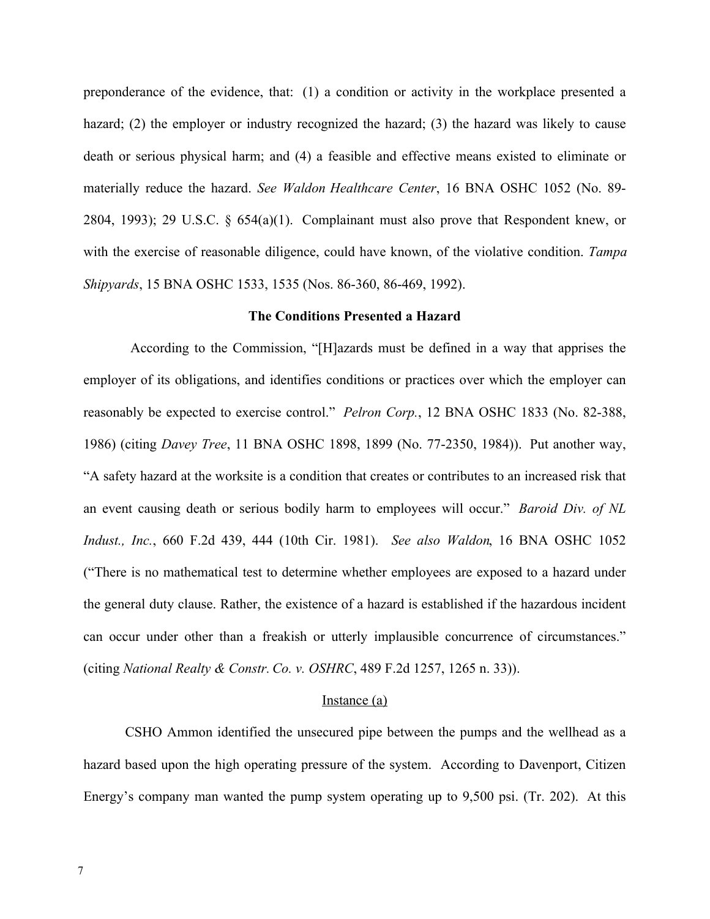preponderance of the evidence, that: (1) a condition or activity in the workplace presented a hazard; (2) the employer or industry recognized the hazard; (3) the hazard was likely to cause death or serious physical harm; and (4) a feasible and effective means existed to eliminate or materially reduce the hazard. *See Waldon Healthcare Center*, 16 BNA OSHC 1052 (No. 89- 2804, 1993); 29 U.S.C. § 654(a)(1). Complainant must also prove that Respondent knew, or with the exercise of reasonable diligence, could have known, of the violative condition. *Tampa Shipyards*, 15 BNA OSHC 1533, 1535 (Nos. 86-360, 86-469, 1992).

#### **The Conditions Presented a Hazard**

According to the Commission, "[H]azards must be defined in a way that apprises the employer of its obligations, and identifies conditions or practices over which the employer can reasonably be expected to exercise control." *Pelron Corp.*, 12 BNA OSHC 1833 (No. 82-388, 1986) (citing *Davey Tree*, 11 BNA OSHC 1898, 1899 (No. 77-2350, 1984)). Put another way, "A safety hazard at the worksite is a condition that creates or contributes to an increased risk that an event causing death or serious bodily harm to employees will occur." *Baroid Div. of NL Indust., Inc.*, 660 F.2d 439, 444 (10th Cir. 1981). *See also Waldon*, 16 BNA OSHC 1052 ("There is no mathematical test to determine whether employees are exposed to a hazard under the general duty clause. Rather, the existence of a hazard is established if the hazardous incident can occur under other than a freakish or utterly implausible concurrence of circumstances." (citing *National Realty & Constr. Co. v. OSHRC*, 489 F.2d 1257, 1265 n. 33)).

#### Instance (a)

CSHO Ammon identified the unsecured pipe between the pumps and the wellhead as a hazard based upon the high operating pressure of the system. According to Davenport, Citizen Energy's company man wanted the pump system operating up to 9,500 psi. (Tr. 202). At this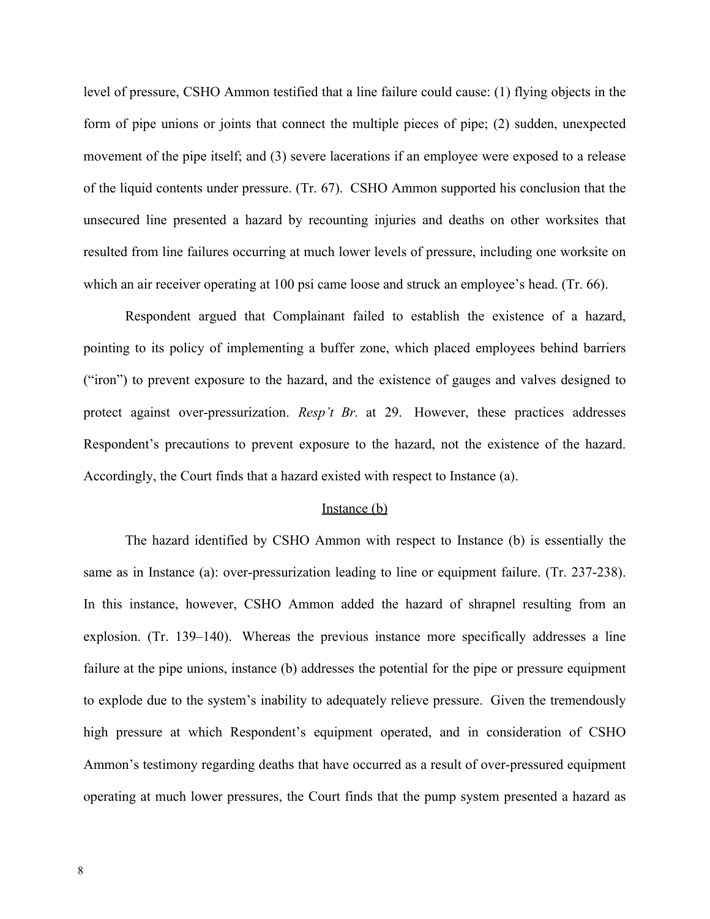level of pressure, CSHO Ammon testified that a line failure could cause: (1) flying objects in the form of pipe unions or joints that connect the multiple pieces of pipe; (2) sudden, unexpected movement of the pipe itself; and (3) severe lacerations if an employee were exposed to a release of the liquid contents under pressure. (Tr. 67). CSHO Ammon supported his conclusion that the unsecured line presented a hazard by recounting injuries and deaths on other worksites that resulted from line failures occurring at much lower levels of pressure, including one worksite on which an air receiver operating at 100 psi came loose and struck an employee's head. (Tr. 66).

Respondent argued that Complainant failed to establish the existence of a hazard, pointing to its policy of implementing a buffer zone, which placed employees behind barriers ("iron") to prevent exposure to the hazard, and the existence of gauges and valves designed to protect against over-pressurization. *Resp't Br.* at 29. However, these practices addresses Respondent's precautions to prevent exposure to the hazard, not the existence of the hazard. Accordingly, the Court finds that a hazard existed with respect to Instance (a).

#### Instance (b)

The hazard identified by CSHO Ammon with respect to Instance (b) is essentially the same as in Instance (a): over-pressurization leading to line or equipment failure. (Tr. 237-238). In this instance, however, CSHO Ammon added the hazard of shrapnel resulting from an explosion. (Tr. 139–140). Whereas the previous instance more specifically addresses a line failure at the pipe unions, instance (b) addresses the potential for the pipe or pressure equipment to explode due to the system's inability to adequately relieve pressure. Given the tremendously high pressure at which Respondent's equipment operated, and in consideration of CSHO Ammon's testimony regarding deaths that have occurred as a result of over-pressured equipment operating at much lower pressures, the Court finds that the pump system presented a hazard as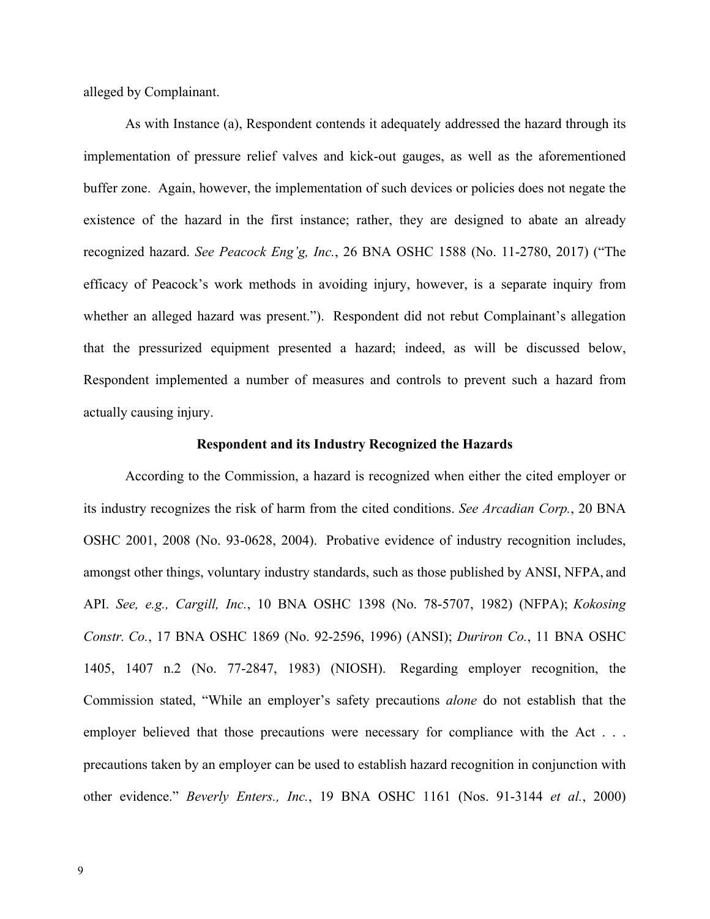alleged by Complainant.

As with Instance (a), Respondent contends it adequately addressed the hazard through its implementation of pressure relief valves and kick-out gauges, as well as the aforementioned buffer zone. Again, however, the implementation of such devices or policies does not negate the existence of the hazard in the first instance; rather, they are designed to abate an already recognized hazard. *See Peacock Eng'g, Inc.*, 26 BNA OSHC 1588 (No. 11-2780, 2017) ("The efficacy of Peacock's work methods in avoiding injury, however, is a separate inquiry from whether an alleged hazard was present."). Respondent did not rebut Complainant's allegation that the pressurized equipment presented a hazard; indeed, as will be discussed below, Respondent implemented a number of measures and controls to prevent such a hazard from actually causing injury.

#### **Respondent and its Industry Recognized the Hazards**

According to the Commission, a hazard is recognized when either the cited employer or its industry recognizes the risk of harm from the cited conditions. *See Arcadian Corp.*, 20 BNA OSHC 2001, 2008 (No. 93-0628, 2004). Probative evidence of industry recognition includes, amongst other things, voluntary industry standards, such as those published by ANSI, NFPA, and API. *See, e.g., Cargill, Inc.*, 10 BNA OSHC 1398 (No. 78-5707, 1982) (NFPA); *Kokosing Constr. Co.*, 17 BNA OSHC 1869 (No. 92-2596, 1996) (ANSI); *Duriron Co.*, 11 BNA OSHC 1405, 1407 n.2 (No. 77-2847, 1983) (NIOSH). Regarding employer recognition, the Commission stated, "While an employer's safety precautions *alone* do not establish that the employer believed that those precautions were necessary for compliance with the Act . . . precautions taken by an employer can be used to establish hazard recognition in conjunction with other evidence." *Beverly Enters., Inc.*, 19 BNA OSHC 1161 (Nos. 91-3144 *et al.*, 2000)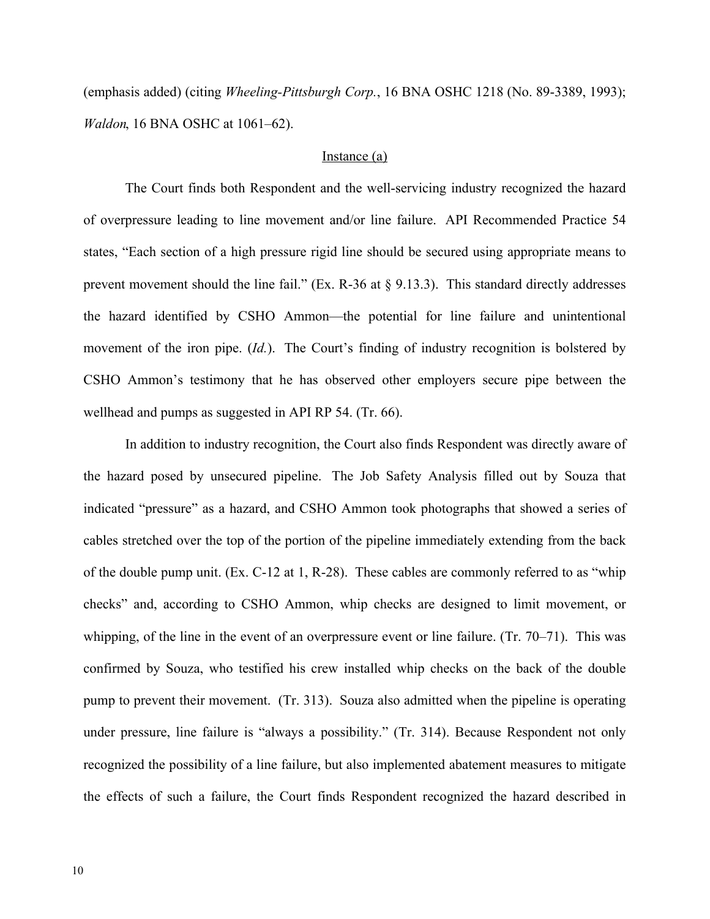(emphasis added) (citing *Wheeling-Pittsburgh Corp.*, 16 BNA OSHC 1218 (No. 89-3389, 1993); *Waldon*, 16 BNA OSHC at 1061–62).

# Instance (a)

The Court finds both Respondent and the well-servicing industry recognized the hazard of overpressure leading to line movement and/or line failure. API Recommended Practice 54 states, "Each section of a high pressure rigid line should be secured using appropriate means to prevent movement should the line fail." (Ex. R-36 at  $\S$  9.13.3). This standard directly addresses the hazard identified by CSHO Ammon—the potential for line failure and unintentional movement of the iron pipe. (*Id.*). The Court's finding of industry recognition is bolstered by CSHO Ammon's testimony that he has observed other employers secure pipe between the wellhead and pumps as suggested in API RP 54. (Tr. 66).

In addition to industry recognition, the Court also finds Respondent was directly aware of the hazard posed by unsecured pipeline. The Job Safety Analysis filled out by Souza that indicated "pressure" as a hazard, and CSHO Ammon took photographs that showed a series of cables stretched over the top of the portion of the pipeline immediately extending from the back of the double pump unit. (Ex. C-12 at 1, R-28). These cables are commonly referred to as "whip checks" and, according to CSHO Ammon, whip checks are designed to limit movement, or whipping, of the line in the event of an overpressure event or line failure. (Tr. 70–71). This was confirmed by Souza, who testified his crew installed whip checks on the back of the double pump to prevent their movement. (Tr. 313). Souza also admitted when the pipeline is operating under pressure, line failure is "always a possibility." (Tr. 314). Because Respondent not only recognized the possibility of a line failure, but also implemented abatement measures to mitigate the effects of such a failure, the Court finds Respondent recognized the hazard described in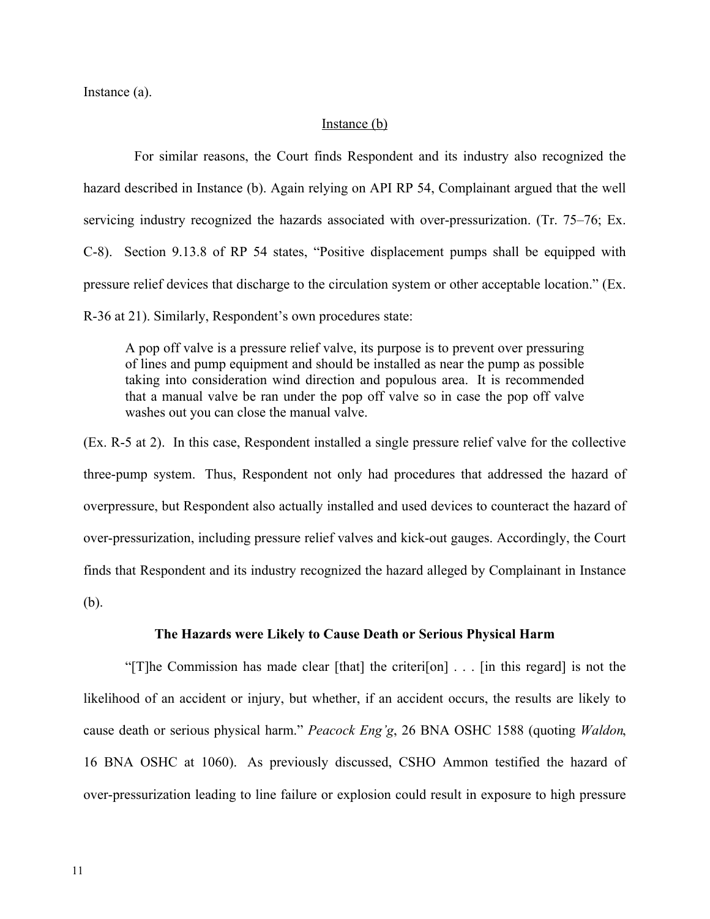Instance (a).

### Instance (b)

For similar reasons, the Court finds Respondent and its industry also recognized the hazard described in Instance (b). Again relying on API RP 54, Complainant argued that the well servicing industry recognized the hazards associated with over-pressurization. (Tr. 75–76; Ex. C-8). Section 9.13.8 of RP 54 states, "Positive displacement pumps shall be equipped with pressure relief devices that discharge to the circulation system or other acceptable location." (Ex. R-36 at 21). Similarly, Respondent's own procedures state:

A pop off valve is a pressure relief valve, its purpose is to prevent over pressuring of lines and pump equipment and should be installed as near the pump as possible taking into consideration wind direction and populous area. It is recommended that a manual valve be ran under the pop off valve so in case the pop off valve washes out you can close the manual valve.

(Ex. R-5 at 2). In this case, Respondent installed a single pressure relief valve for the collective three-pump system. Thus, Respondent not only had procedures that addressed the hazard of overpressure, but Respondent also actually installed and used devices to counteract the hazard of over-pressurization, including pressure relief valves and kick-out gauges. Accordingly, the Court finds that Respondent and its industry recognized the hazard alleged by Complainant in Instance (b).

### **The Hazards were Likely to Cause Death or Serious Physical Harm**

"[T]he Commission has made clear [that] the criteri[on] . . . [in this regard] is not the likelihood of an accident or injury, but whether, if an accident occurs, the results are likely to cause death or serious physical harm." *Peacock Eng'g*, 26 BNA OSHC 1588 (quoting *Waldon*, 16 BNA OSHC at 1060). As previously discussed, CSHO Ammon testified the hazard of over-pressurization leading to line failure or explosion could result in exposure to high pressure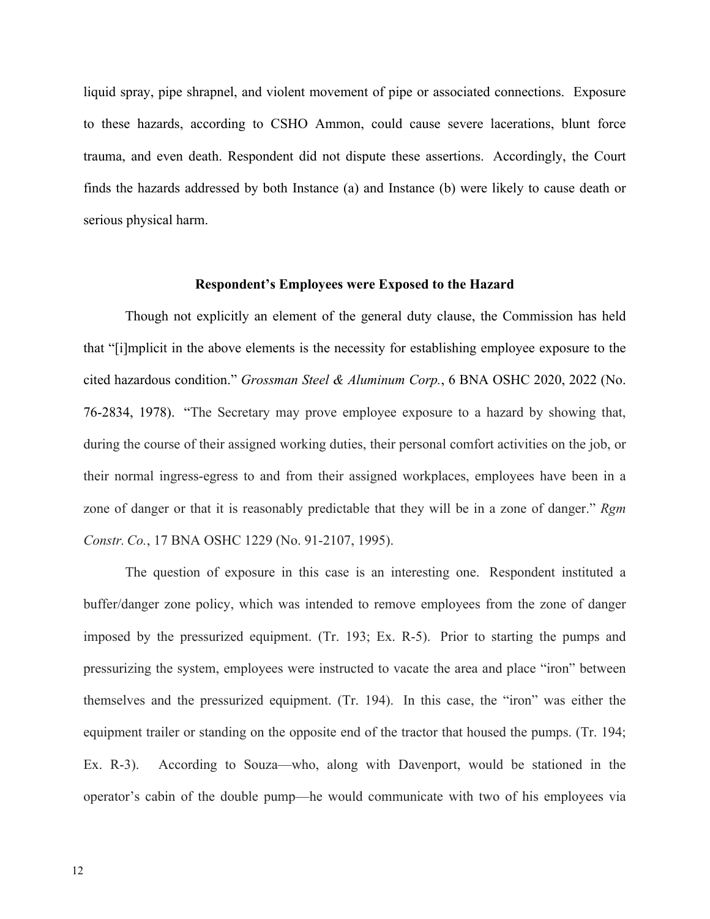liquid spray, pipe shrapnel, and violent movement of pipe or associated connections. Exposure to these hazards, according to CSHO Ammon, could cause severe lacerations, blunt force trauma, and even death. Respondent did not dispute these assertions. Accordingly, the Court finds the hazards addressed by both Instance (a) and Instance (b) were likely to cause death or serious physical harm.

#### **Respondent's Employees were Exposed to the Hazard**

Though not explicitly an element of the general duty clause, the Commission has held that "[i]mplicit in the above elements is the necessity for establishing employee exposure to the cited hazardous condition." *Grossman Steel & Aluminum Corp.*, 6 BNA OSHC 2020, 2022 (No. 76-2834, 1978). "The Secretary may prove employee exposure to a hazard by showing that, during the course of their assigned working duties, their personal comfort activities on the job, or their normal ingress-egress to and from their assigned workplaces, employees have been in a zone of danger or that it is reasonably predictable that they will be in a zone of danger." *Rgm Constr. Co.*, 17 BNA OSHC 1229 (No. 91-2107, 1995).

The question of exposure in this case is an interesting one. Respondent instituted a buffer/danger zone policy, which was intended to remove employees from the zone of danger imposed by the pressurized equipment. (Tr. 193; Ex. R-5). Prior to starting the pumps and pressurizing the system, employees were instructed to vacate the area and place "iron" between themselves and the pressurized equipment. (Tr. 194). In this case, the "iron" was either the equipment trailer or standing on the opposite end of the tractor that housed the pumps. (Tr. 194; Ex. R-3). According to Souza—who, along with Davenport, would be stationed in the operator's cabin of the double pump—he would communicate with two of his employees via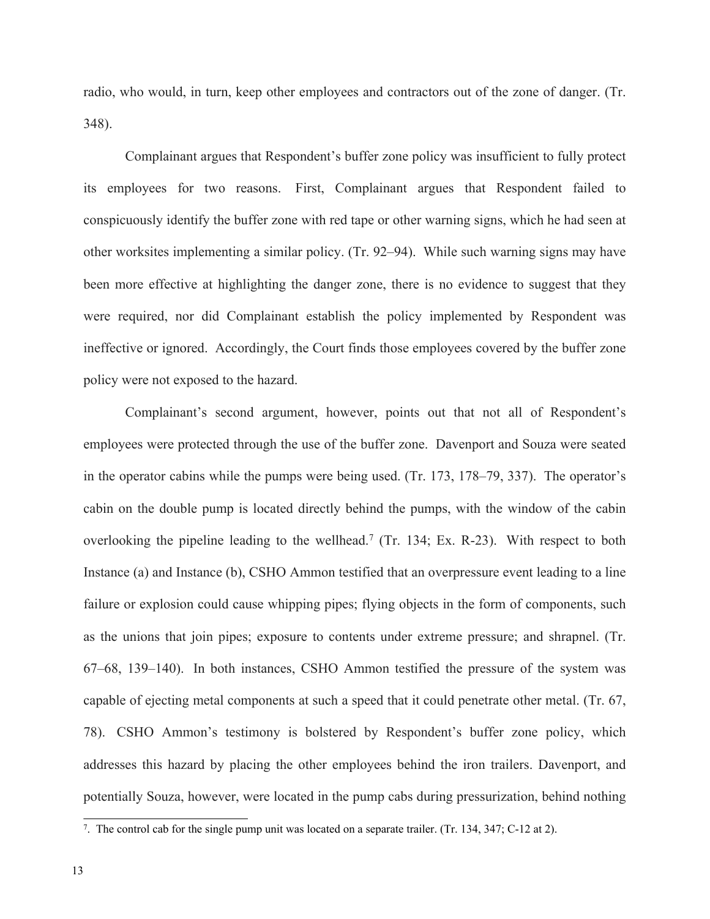radio, who would, in turn, keep other employees and contractors out of the zone of danger. (Tr. 348).

Complainant argues that Respondent's buffer zone policy was insufficient to fully protect its employees for two reasons. First, Complainant argues that Respondent failed to conspicuously identify the buffer zone with red tape or other warning signs, which he had seen at other worksites implementing a similar policy. (Tr. 92–94). While such warning signs may have been more effective at highlighting the danger zone, there is no evidence to suggest that they were required, nor did Complainant establish the policy implemented by Respondent was ineffective or ignored. Accordingly, the Court finds those employees covered by the buffer zone policy were not exposed to the hazard.

Complainant's second argument, however, points out that not all of Respondent's employees were protected through the use of the buffer zone. Davenport and Souza were seated in the operator cabins while the pumps were being used. (Tr. 173, 178–79, 337). The operator's cabin on the double pump is located directly behind the pumps, with the window of the cabin overlooking the pipeline leading to the wellhead.<sup>7</sup> (Tr. 134; Ex. R-23). With respect to both Instance (a) and Instance (b), CSHO Ammon testified that an overpressure event leading to a line failure or explosion could cause whipping pipes; flying objects in the form of components, such as the unions that join pipes; exposure to contents under extreme pressure; and shrapnel. (Tr. 67–68, 139–140). In both instances, CSHO Ammon testified the pressure of the system was capable of ejecting metal components at such a speed that it could penetrate other metal. (Tr. 67, 78). CSHO Ammon's testimony is bolstered by Respondent's buffer zone policy, which addresses this hazard by placing the other employees behind the iron trailers. Davenport, and potentially Souza, however, were located in the pump cabs during pressurization, behind nothing

<sup>7</sup> . The control cab for the single pump unit was located on a separate trailer. (Tr. 134, 347; C-12 at 2).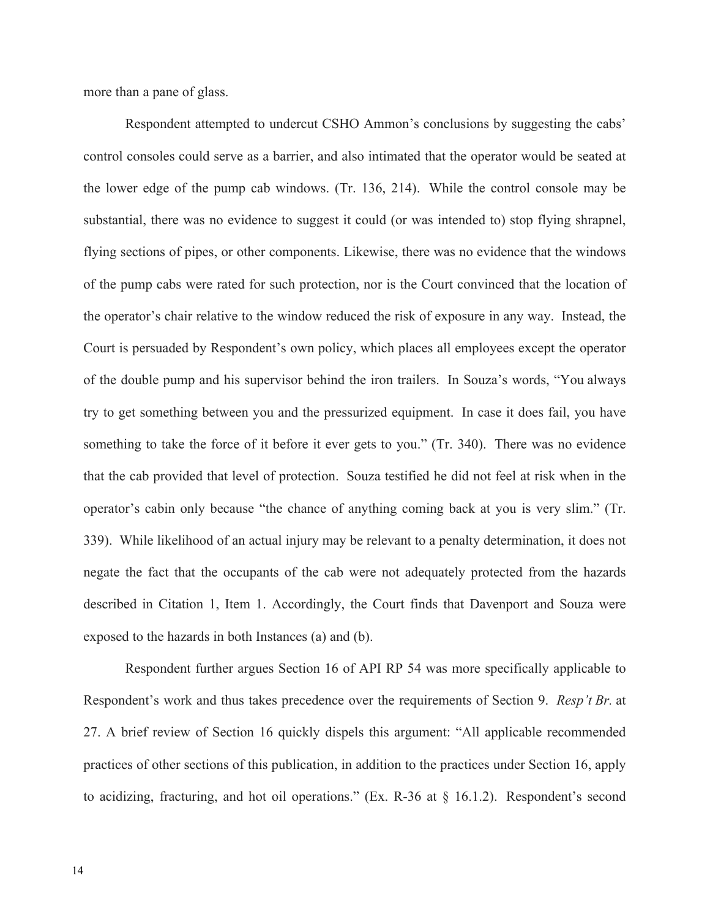more than a pane of glass.

Respondent attempted to undercut CSHO Ammon's conclusions by suggesting the cabs' control consoles could serve as a barrier, and also intimated that the operator would be seated at the lower edge of the pump cab windows. (Tr. 136, 214). While the control console may be substantial, there was no evidence to suggest it could (or was intended to) stop flying shrapnel, flying sections of pipes, or other components. Likewise, there was no evidence that the windows of the pump cabs were rated for such protection, nor is the Court convinced that the location of the operator's chair relative to the window reduced the risk of exposure in any way. Instead, the Court is persuaded by Respondent's own policy, which places all employees except the operator of the double pump and his supervisor behind the iron trailers. In Souza's words, "You always try to get something between you and the pressurized equipment. In case it does fail, you have something to take the force of it before it ever gets to you." (Tr. 340). There was no evidence that the cab provided that level of protection. Souza testified he did not feel at risk when in the operator's cabin only because "the chance of anything coming back at you is very slim." (Tr. 339). While likelihood of an actual injury may be relevant to a penalty determination, it does not negate the fact that the occupants of the cab were not adequately protected from the hazards described in Citation 1, Item 1. Accordingly, the Court finds that Davenport and Souza were exposed to the hazards in both Instances (a) and (b).

Respondent further argues Section 16 of API RP 54 was more specifically applicable to Respondent's work and thus takes precedence over the requirements of Section 9. *Resp't Br.* at 27. A brief review of Section 16 quickly dispels this argument: "All applicable recommended practices of other sections of this publication, in addition to the practices under Section 16, apply to acidizing, fracturing, and hot oil operations." (Ex. R-36 at § 16.1.2). Respondent's second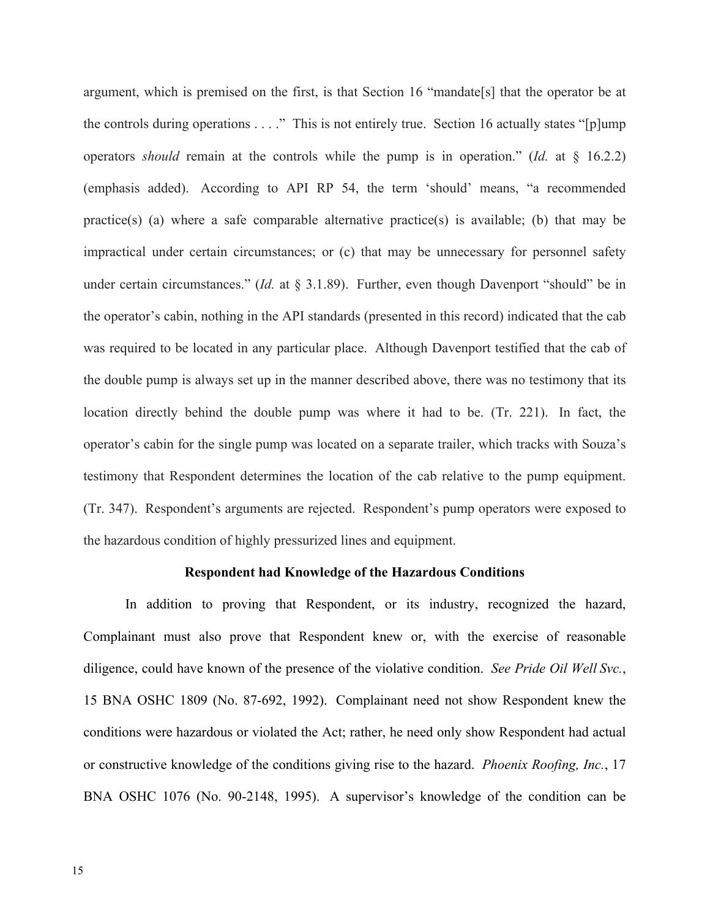argument, which is premised on the first, is that Section 16 "mandate[s] that the operator be at the controls during operations  $\dots$ ." This is not entirely true. Section 16 actually states "[p]ump operators *should* remain at the controls while the pump is in operation." (*Id.* at § 16.2.2) (emphasis added). According to API RP 54, the term 'should' means, "a recommended practice(s) (a) where a safe comparable alternative practice(s) is available; (b) that may be impractical under certain circumstances; or (c) that may be unnecessary for personnel safety under certain circumstances." (*Id.* at § 3.1.89). Further, even though Davenport "should" be in the operator's cabin, nothing in the API standards (presented in this record) indicated that the cab was required to be located in any particular place. Although Davenport testified that the cab of the double pump is always set up in the manner described above, there was no testimony that its location directly behind the double pump was where it had to be. (Tr. 221). In fact, the operator's cabin for the single pump was located on a separate trailer, which tracks with Souza's testimony that Respondent determines the location of the cab relative to the pump equipment. (Tr. 347). Respondent's arguments are rejected. Respondent's pump operators were exposed to the hazardous condition of highly pressurized lines and equipment.

#### **Respondent had Knowledge of the Hazardous Conditions**

In addition to proving that Respondent, or its industry, recognized the hazard, Complainant must also prove that Respondent knew or, with the exercise of reasonable diligence, could have known of the presence of the violative condition. *See Pride Oil Well Svc.*, 15 BNA OSHC 1809 (No. 87-692, 1992). Complainant need not show Respondent knew the conditions were hazardous or violated the Act; rather, he need only show Respondent had actual or constructive knowledge of the conditions giving rise to the hazard. *Phoenix Roofing, Inc.*, 17 BNA OSHC 1076 (No. 90-2148, 1995). A supervisor's knowledge of the condition can be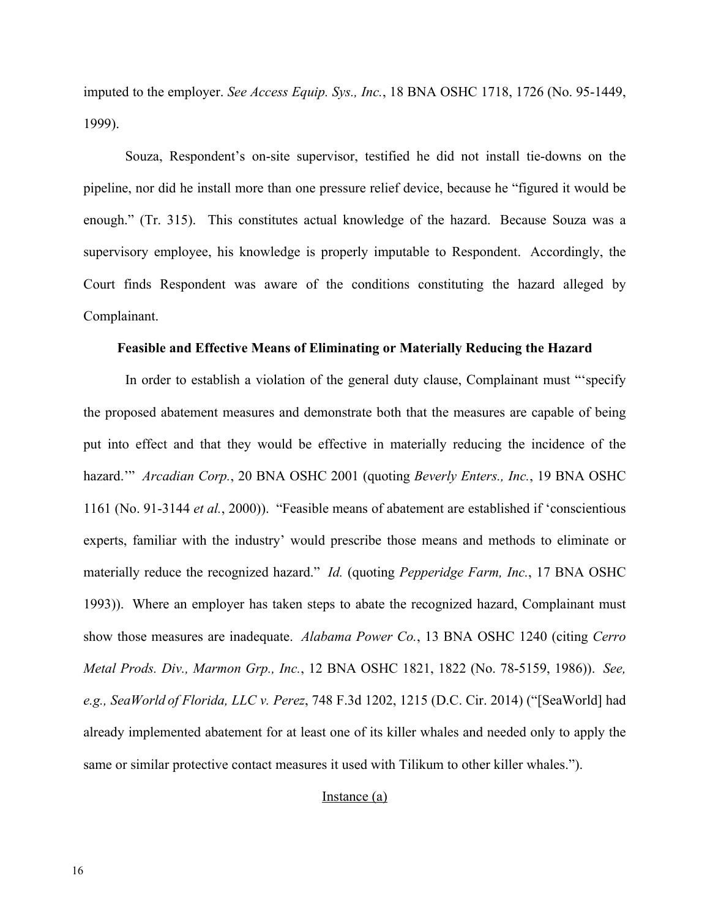imputed to the employer. *See Access Equip. Sys., Inc.*, 18 BNA OSHC 1718, 1726 (No. 95-1449, 1999).

Souza, Respondent's on-site supervisor, testified he did not install tie-downs on the pipeline, nor did he install more than one pressure relief device, because he "figured it would be enough." (Tr. 315). This constitutes actual knowledge of the hazard. Because Souza was a supervisory employee, his knowledge is properly imputable to Respondent. Accordingly, the Court finds Respondent was aware of the conditions constituting the hazard alleged by Complainant.

#### **Feasible and Effective Means of Eliminating or Materially Reducing the Hazard**

In order to establish a violation of the general duty clause, Complainant must "'specify the proposed abatement measures and demonstrate both that the measures are capable of being put into effect and that they would be effective in materially reducing the incidence of the hazard.'" *Arcadian Corp.*, 20 BNA OSHC 2001 (quoting *Beverly Enters., Inc.*, 19 BNA OSHC 1161 (No. 91-3144 *et al.*, 2000)). "Feasible means of abatement are established if 'conscientious experts, familiar with the industry' would prescribe those means and methods to eliminate or materially reduce the recognized hazard." *Id.* (quoting *Pepperidge Farm, Inc.*, 17 BNA OSHC 1993)). Where an employer has taken steps to abate the recognized hazard, Complainant must show those measures are inadequate. *Alabama Power Co.*, 13 BNA OSHC 1240 (citing *Cerro Metal Prods. Div., Marmon Grp., Inc.*, 12 BNA OSHC 1821, 1822 (No. 78-5159, 1986)). *See, e.g., SeaWorld of Florida, LLC v. Perez*, 748 F.3d 1202, 1215 (D.C. Cir. 2014) ("[SeaWorld] had already implemented abatement for at least one of its killer whales and needed only to apply the same or similar protective contact measures it used with Tilikum to other killer whales.").

#### Instance (a)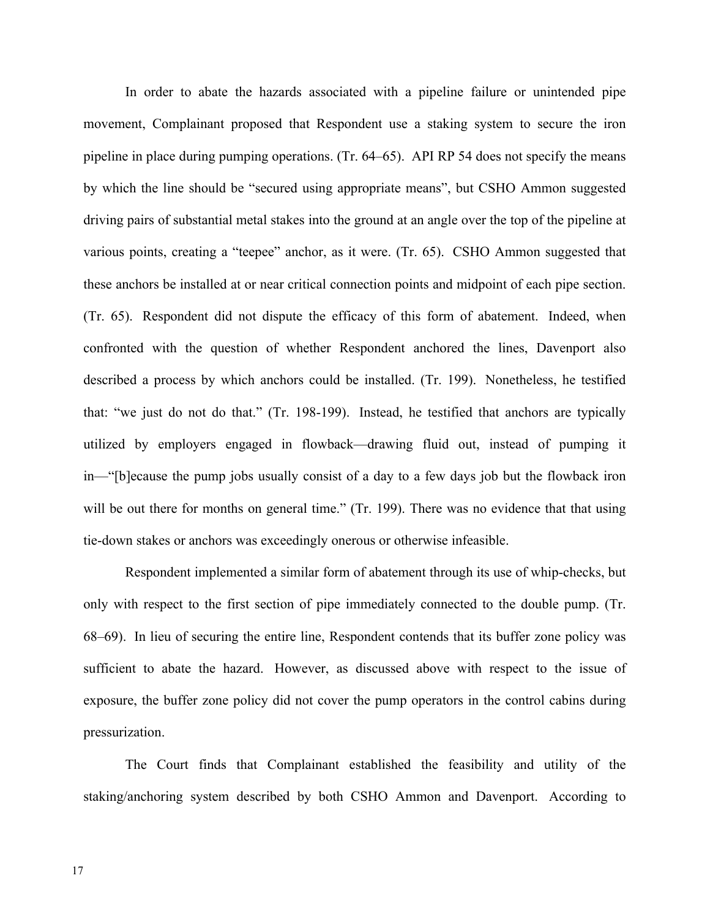In order to abate the hazards associated with a pipeline failure or unintended pipe movement, Complainant proposed that Respondent use a staking system to secure the iron pipeline in place during pumping operations. (Tr. 64–65). API RP 54 does not specify the means by which the line should be "secured using appropriate means", but CSHO Ammon suggested driving pairs of substantial metal stakes into the ground at an angle over the top of the pipeline at various points, creating a "teepee" anchor, as it were. (Tr. 65). CSHO Ammon suggested that these anchors be installed at or near critical connection points and midpoint of each pipe section. (Tr. 65). Respondent did not dispute the efficacy of this form of abatement. Indeed, when confronted with the question of whether Respondent anchored the lines, Davenport also described a process by which anchors could be installed. (Tr. 199). Nonetheless, he testified that: "we just do not do that." (Tr. 198-199). Instead, he testified that anchors are typically utilized by employers engaged in flowback—drawing fluid out, instead of pumping it in—"[b]ecause the pump jobs usually consist of a day to a few days job but the flowback iron will be out there for months on general time." (Tr. 199). There was no evidence that that using tie-down stakes or anchors was exceedingly onerous or otherwise infeasible.

Respondent implemented a similar form of abatement through its use of whip-checks, but only with respect to the first section of pipe immediately connected to the double pump. (Tr. 68–69). In lieu of securing the entire line, Respondent contends that its buffer zone policy was sufficient to abate the hazard. However, as discussed above with respect to the issue of exposure, the buffer zone policy did not cover the pump operators in the control cabins during pressurization.

The Court finds that Complainant established the feasibility and utility of the staking/anchoring system described by both CSHO Ammon and Davenport. According to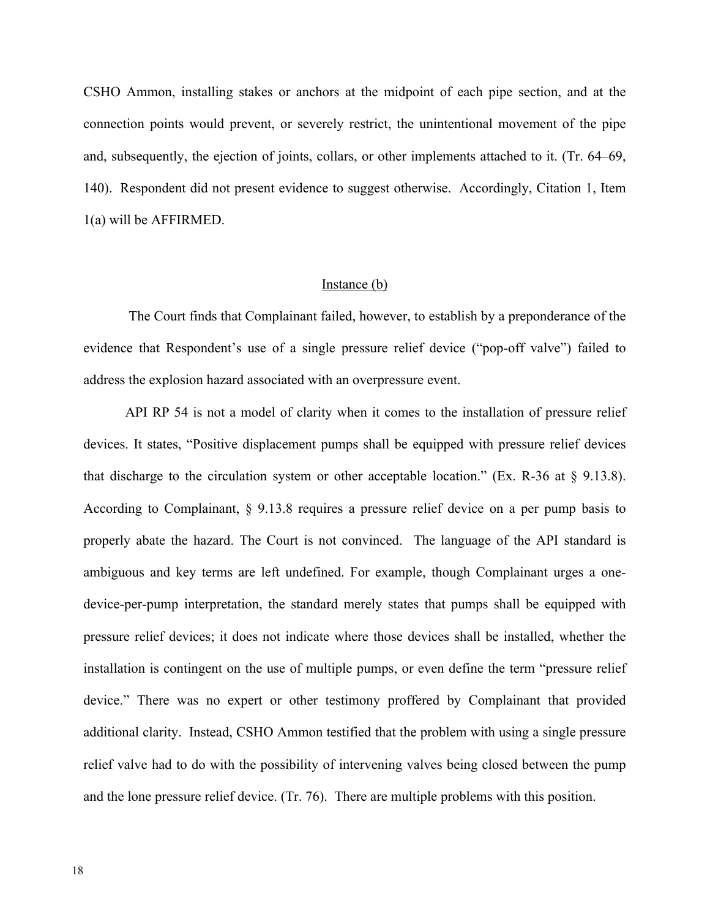CSHO Ammon, installing stakes or anchors at the midpoint of each pipe section, and at the connection points would prevent, or severely restrict, the unintentional movement of the pipe and, subsequently, the ejection of joints, collars, or other implements attached to it. (Tr. 64–69, 140). Respondent did not present evidence to suggest otherwise. Accordingly, Citation 1, Item 1(a) will be AFFIRMED.

### Instance (b)

The Court finds that Complainant failed, however, to establish by a preponderance of the evidence that Respondent's use of a single pressure relief device ("pop-off valve") failed to address the explosion hazard associated with an overpressure event.

API RP 54 is not a model of clarity when it comes to the installation of pressure relief devices. It states, "Positive displacement pumps shall be equipped with pressure relief devices that discharge to the circulation system or other acceptable location." (Ex. R-36 at  $\S$  9.13.8). According to Complainant, § 9.13.8 requires a pressure relief device on a per pump basis to properly abate the hazard. The Court is not convinced. The language of the API standard is ambiguous and key terms are left undefined. For example, though Complainant urges a onedevice-per-pump interpretation, the standard merely states that pumps shall be equipped with pressure relief devices; it does not indicate where those devices shall be installed, whether the installation is contingent on the use of multiple pumps, or even define the term "pressure relief device." There was no expert or other testimony proffered by Complainant that provided additional clarity. Instead, CSHO Ammon testified that the problem with using a single pressure relief valve had to do with the possibility of intervening valves being closed between the pump and the lone pressure relief device. (Tr. 76). There are multiple problems with this position.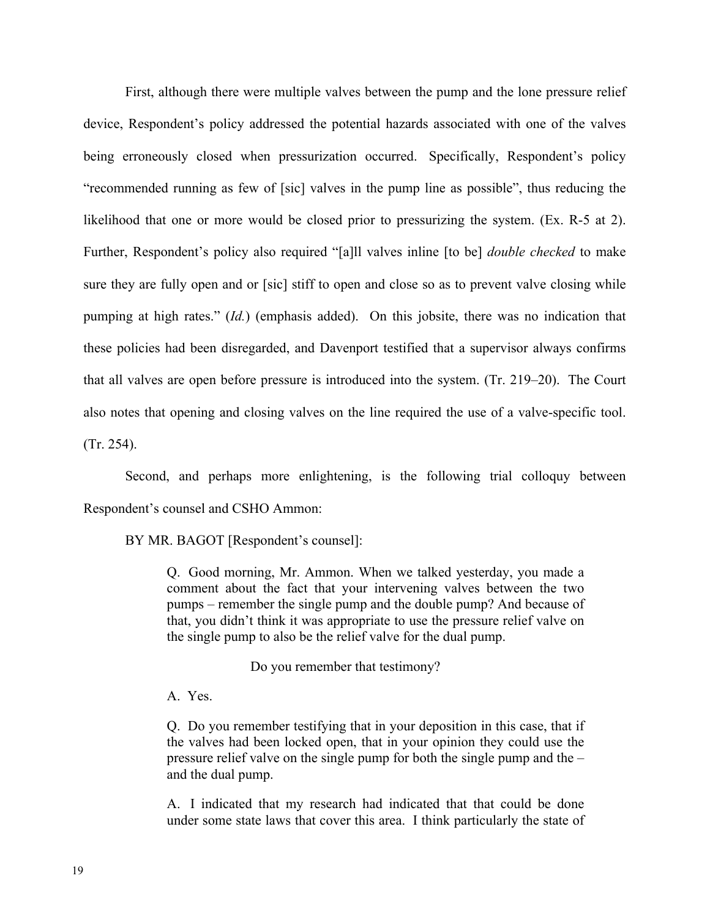First, although there were multiple valves between the pump and the lone pressure relief device, Respondent's policy addressed the potential hazards associated with one of the valves being erroneously closed when pressurization occurred. Specifically, Respondent's policy "recommended running as few of [sic] valves in the pump line as possible", thus reducing the likelihood that one or more would be closed prior to pressurizing the system. (Ex. R-5 at 2). Further, Respondent's policy also required "[a]ll valves inline [to be] *double checked* to make sure they are fully open and or [sic] stiff to open and close so as to prevent valve closing while pumping at high rates." (*Id.*) (emphasis added). On this jobsite, there was no indication that these policies had been disregarded, and Davenport testified that a supervisor always confirms that all valves are open before pressure is introduced into the system. (Tr. 219–20). The Court also notes that opening and closing valves on the line required the use of a valve-specific tool. (Tr. 254).

Second, and perhaps more enlightening, is the following trial colloquy between Respondent's counsel and CSHO Ammon:

BY MR. BAGOT [Respondent's counsel]:

Q. Good morning, Mr. Ammon. When we talked yesterday, you made a comment about the fact that your intervening valves between the two pumps – remember the single pump and the double pump? And because of that, you didn't think it was appropriate to use the pressure relief valve on the single pump to also be the relief valve for the dual pump.

Do you remember that testimony?

A. Yes.

Q. Do you remember testifying that in your deposition in this case, that if the valves had been locked open, that in your opinion they could use the pressure relief valve on the single pump for both the single pump and the – and the dual pump.

A. I indicated that my research had indicated that that could be done under some state laws that cover this area. I think particularly the state of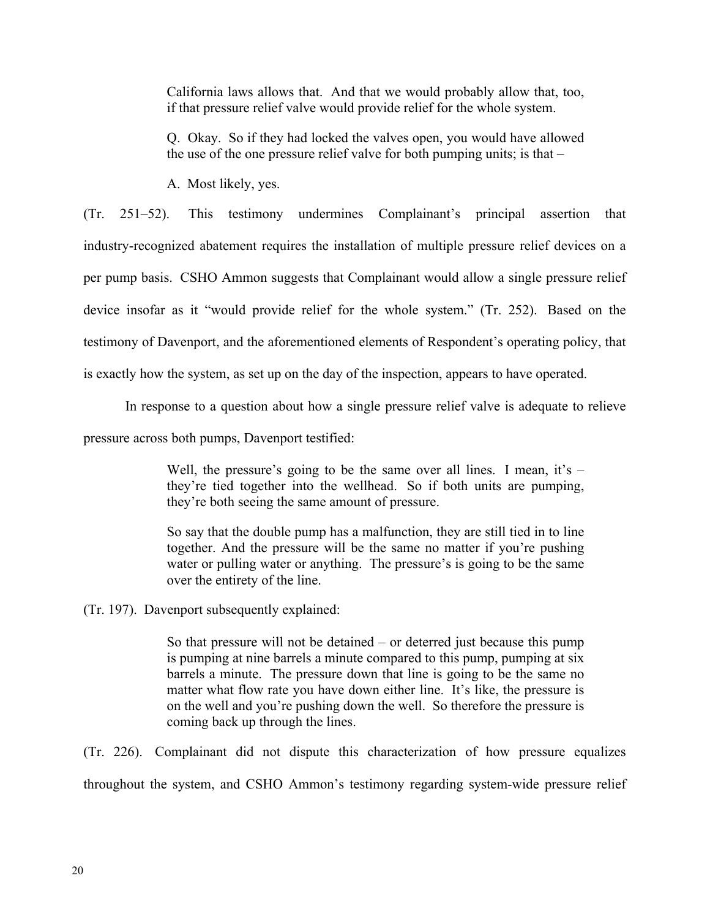California laws allows that. And that we would probably allow that, too, if that pressure relief valve would provide relief for the whole system.

Q. Okay. So if they had locked the valves open, you would have allowed the use of the one pressure relief valve for both pumping units; is that –

A. Most likely, yes.

(Tr. 251–52). This testimony undermines Complainant's principal assertion that industry-recognized abatement requires the installation of multiple pressure relief devices on a per pump basis. CSHO Ammon suggests that Complainant would allow a single pressure relief device insofar as it "would provide relief for the whole system." (Tr. 252). Based on the testimony of Davenport, and the aforementioned elements of Respondent's operating policy, that is exactly how the system, as set up on the day of the inspection, appears to have operated.

In response to a question about how a single pressure relief valve is adequate to relieve

pressure across both pumps, Davenport testified:

Well, the pressure's going to be the same over all lines. I mean, it's  $$ they're tied together into the wellhead. So if both units are pumping, they're both seeing the same amount of pressure.

So say that the double pump has a malfunction, they are still tied in to line together. And the pressure will be the same no matter if you're pushing water or pulling water or anything. The pressure's is going to be the same over the entirety of the line.

(Tr. 197). Davenport subsequently explained:

So that pressure will not be detained – or deterred just because this pump is pumping at nine barrels a minute compared to this pump, pumping at six barrels a minute. The pressure down that line is going to be the same no matter what flow rate you have down either line. It's like, the pressure is on the well and you're pushing down the well. So therefore the pressure is coming back up through the lines.

(Tr. 226). Complainant did not dispute this characterization of how pressure equalizes throughout the system, and CSHO Ammon's testimony regarding system-wide pressure relief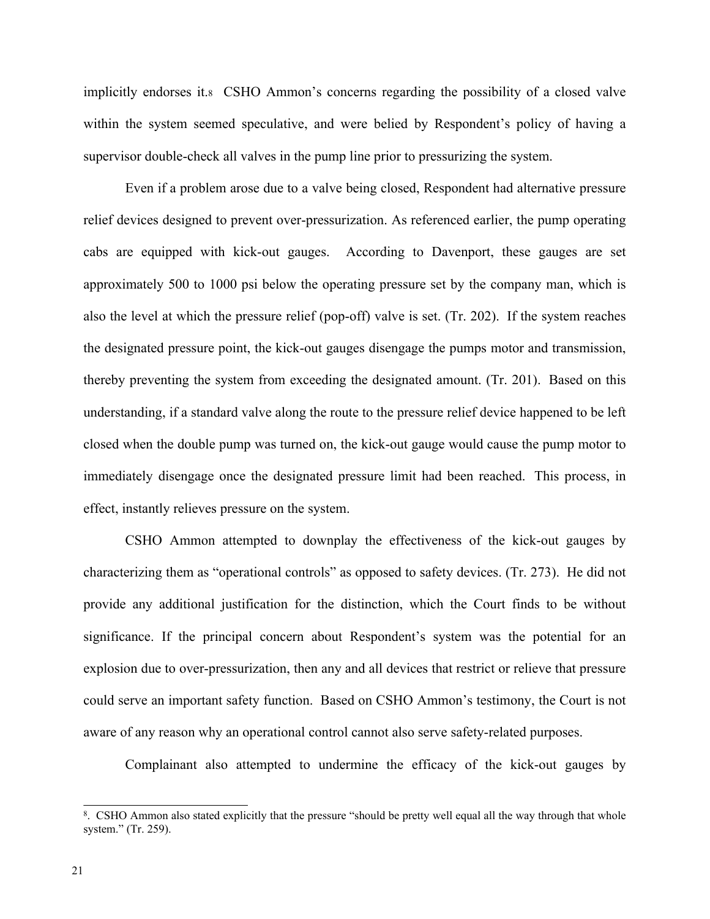implicitly endorses it.<sup>8</sup> CSHO Ammon's concerns regarding the possibility of a closed valve within the system seemed speculative, and were belied by Respondent's policy of having a supervisor double-check all valves in the pump line prior to pressurizing the system.

Even if a problem arose due to a valve being closed, Respondent had alternative pressure relief devices designed to prevent over-pressurization. As referenced earlier, the pump operating cabs are equipped with kick-out gauges. According to Davenport, these gauges are set approximately 500 to 1000 psi below the operating pressure set by the company man, which is also the level at which the pressure relief (pop-off) valve is set. (Tr. 202). If the system reaches the designated pressure point, the kick-out gauges disengage the pumps motor and transmission, thereby preventing the system from exceeding the designated amount. (Tr. 201). Based on this understanding, if a standard valve along the route to the pressure relief device happened to be left closed when the double pump was turned on, the kick-out gauge would cause the pump motor to immediately disengage once the designated pressure limit had been reached. This process, in effect, instantly relieves pressure on the system.

CSHO Ammon attempted to downplay the effectiveness of the kick-out gauges by characterizing them as "operational controls" as opposed to safety devices. (Tr. 273). He did not provide any additional justification for the distinction, which the Court finds to be without significance. If the principal concern about Respondent's system was the potential for an explosion due to over-pressurization, then any and all devices that restrict or relieve that pressure could serve an important safety function. Based on CSHO Ammon's testimony, the Court is not aware of any reason why an operational control cannot also serve safety-related purposes.

Complainant also attempted to undermine the efficacy of the kick-out gauges by

<sup>8</sup> . CSHO Ammon also stated explicitly that the pressure "should be pretty well equal all the way through that whole system." (Tr. 259).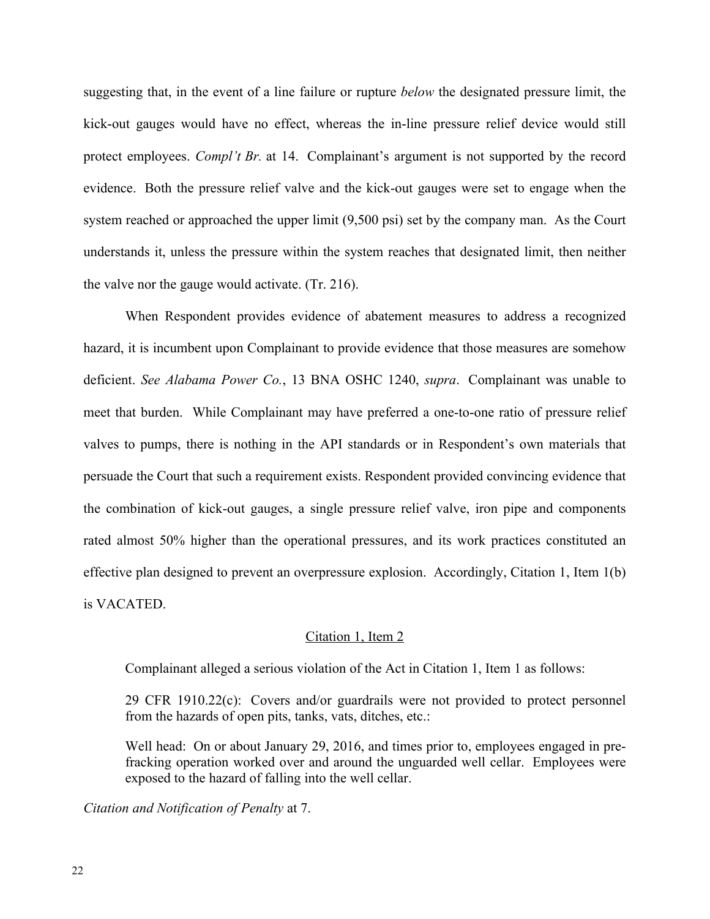suggesting that, in the event of a line failure or rupture *below* the designated pressure limit, the kick-out gauges would have no effect, whereas the in-line pressure relief device would still protect employees. *Compl't Br.* at 14. Complainant's argument is not supported by the record evidence. Both the pressure relief valve and the kick-out gauges were set to engage when the system reached or approached the upper limit (9,500 psi) set by the company man. As the Court understands it, unless the pressure within the system reaches that designated limit, then neither the valve nor the gauge would activate. (Tr. 216).

When Respondent provides evidence of abatement measures to address a recognized hazard, it is incumbent upon Complainant to provide evidence that those measures are somehow deficient. *See Alabama Power Co.*, 13 BNA OSHC 1240, *supra*. Complainant was unable to meet that burden. While Complainant may have preferred a one-to-one ratio of pressure relief valves to pumps, there is nothing in the API standards or in Respondent's own materials that persuade the Court that such a requirement exists. Respondent provided convincing evidence that the combination of kick-out gauges, a single pressure relief valve, iron pipe and components rated almost 50% higher than the operational pressures, and its work practices constituted an effective plan designed to prevent an overpressure explosion. Accordingly, Citation 1, Item 1(b) is VACATED.

### Citation 1, Item 2

Complainant alleged a serious violation of the Act in Citation 1, Item 1 as follows:

29 CFR 1910.22(c): Covers and/or guardrails were not provided to protect personnel from the hazards of open pits, tanks, vats, ditches, etc.:

Well head: On or about January 29, 2016, and times prior to, employees engaged in prefracking operation worked over and around the unguarded well cellar. Employees were exposed to the hazard of falling into the well cellar.

*Citation and Notification of Penalty* at 7.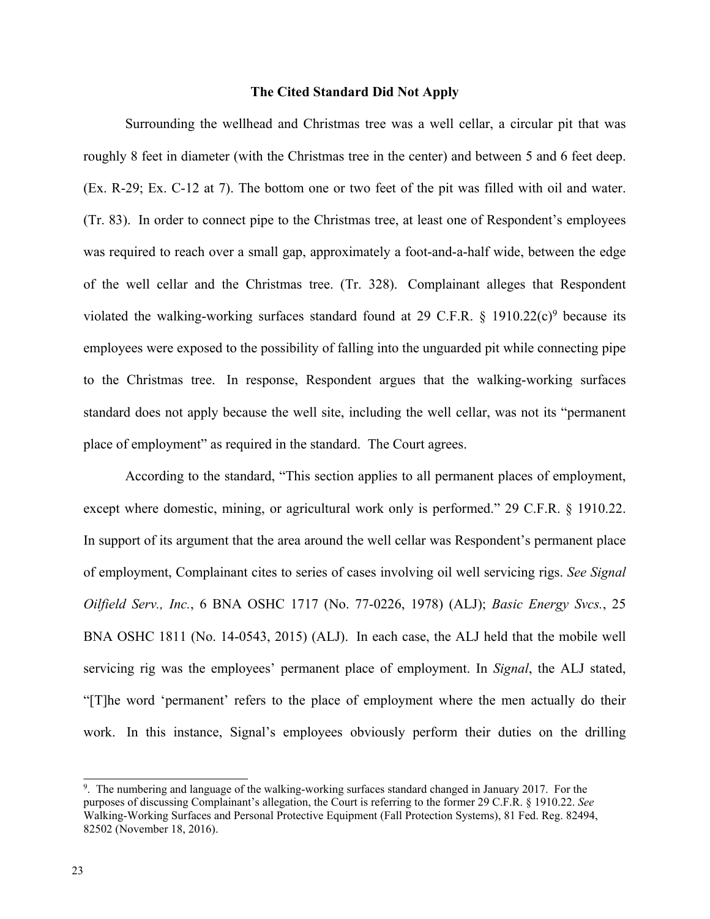### **The Cited Standard Did Not Apply**

Surrounding the wellhead and Christmas tree was a well cellar, a circular pit that was roughly 8 feet in diameter (with the Christmas tree in the center) and between 5 and 6 feet deep. (Ex. R-29; Ex. C-12 at 7). The bottom one or two feet of the pit was filled with oil and water. (Tr. 83). In order to connect pipe to the Christmas tree, at least one of Respondent's employees was required to reach over a small gap, approximately a foot-and-a-half wide, between the edge of the well cellar and the Christmas tree. (Tr. 328). Complainant alleges that Respondent violated the walking-working surfaces standard found at 29 C.F.R. § 1910.22(c)<sup>9</sup> because its employees were exposed to the possibility of falling into the unguarded pit while connecting pipe to the Christmas tree. In response, Respondent argues that the walking-working surfaces standard does not apply because the well site, including the well cellar, was not its "permanent place of employment" as required in the standard. The Court agrees.

According to the standard, "This section applies to all permanent places of employment, except where domestic, mining, or agricultural work only is performed." 29 C.F.R. § 1910.22. In support of its argument that the area around the well cellar was Respondent's permanent place of employment, Complainant cites to series of cases involving oil well servicing rigs. *See Signal Oilfield Serv., Inc.*, 6 BNA OSHC 1717 (No. 77-0226, 1978) (ALJ); *Basic Energy Svcs.*, 25 BNA OSHC 1811 (No. 14-0543, 2015) (ALJ). In each case, the ALJ held that the mobile well servicing rig was the employees' permanent place of employment. In *Signal*, the ALJ stated, "[T]he word 'permanent' refers to the place of employment where the men actually do their work. In this instance, Signal's employees obviously perform their duties on the drilling

<sup>9</sup> . The numbering and language of the walking-working surfaces standard changed in January 2017. For the purposes of discussing Complainant's allegation, the Court is referring to the former 29 C.F.R. § 1910.22. *See* Walking-Working Surfaces and Personal Protective Equipment (Fall Protection Systems), 81 Fed. Reg. 82494, 82502 (November 18, 2016).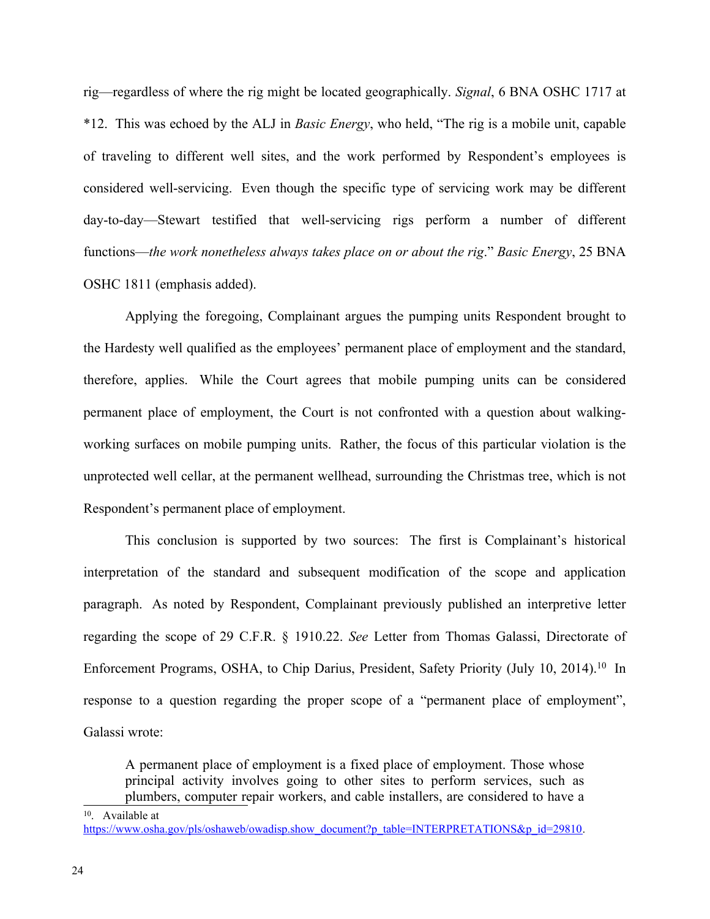rig—regardless of where the rig might be located geographically. *Signal*, 6 BNA OSHC 1717 at \*12. This was echoed by the ALJ in *Basic Energy*, who held, "The rig is a mobile unit, capable of traveling to different well sites, and the work performed by Respondent's employees is considered well-servicing. Even though the specific type of servicing work may be different day-to-day—Stewart testified that well-servicing rigs perform a number of different functions—*the work nonetheless always takes place on or about the rig*." *Basic Energy*, 25 BNA OSHC 1811 (emphasis added).

Applying the foregoing, Complainant argues the pumping units Respondent brought to the Hardesty well qualified as the employees' permanent place of employment and the standard, therefore, applies. While the Court agrees that mobile pumping units can be considered permanent place of employment, the Court is not confronted with a question about walkingworking surfaces on mobile pumping units. Rather, the focus of this particular violation is the unprotected well cellar, at the permanent wellhead, surrounding the Christmas tree, which is not Respondent's permanent place of employment.

This conclusion is supported by two sources: The first is Complainant's historical interpretation of the standard and subsequent modification of the scope and application paragraph. As noted by Respondent, Complainant previously published an interpretive letter regarding the scope of 29 C.F.R. § 1910.22. *See* Letter from Thomas Galassi, Directorate of Enforcement Programs, OSHA, to Chip Darius, President, Safety Priority (July 10, 2014).<sup>10</sup> In response to a question regarding the proper scope of a "permanent place of employment", Galassi wrote:

A permanent place of employment is a fixed place of employment. Those whose principal activity involves going to other sites to perform services, such as plumbers, computer repair workers, and cable installers, are considered to have a

<sup>10</sup> . Available at [https://www.osha.gov/pls/oshaweb/owadisp.show\\_document?p\\_table=INTERPRETATIONS&p\\_id=29810](https://www.osha.gov/pls/oshaweb/owadisp.show_document?p_table=INTERPRETATIONS&p_id=29810).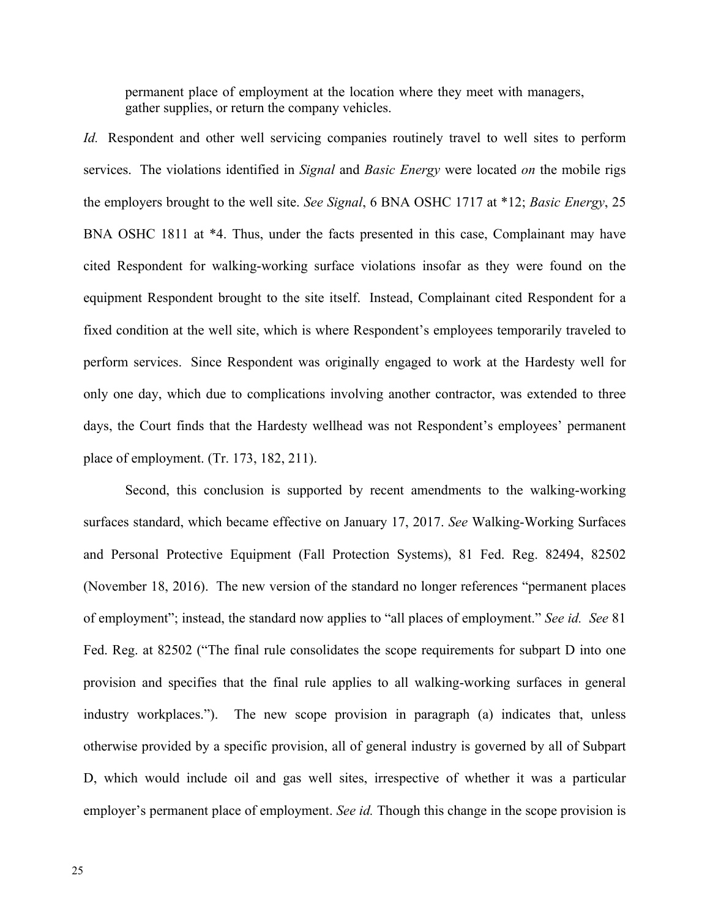permanent place of employment at the location where they meet with managers, gather supplies, or return the company vehicles.

*Id.* Respondent and other well servicing companies routinely travel to well sites to perform services. The violations identified in *Signal* and *Basic Energy* were located *on* the mobile rigs the employers brought to the well site. *See Signal*, 6 BNA OSHC 1717 at \*12; *Basic Energy*, 25 BNA OSHC 1811 at \*4. Thus, under the facts presented in this case, Complainant may have cited Respondent for walking-working surface violations insofar as they were found on the equipment Respondent brought to the site itself. Instead, Complainant cited Respondent for a fixed condition at the well site, which is where Respondent's employees temporarily traveled to perform services. Since Respondent was originally engaged to work at the Hardesty well for only one day, which due to complications involving another contractor, was extended to three days, the Court finds that the Hardesty wellhead was not Respondent's employees' permanent place of employment. (Tr. 173, 182, 211).

Second, this conclusion is supported by recent amendments to the walking-working surfaces standard, which became effective on January 17, 2017. *See* Walking-Working Surfaces and Personal Protective Equipment (Fall Protection Systems), 81 Fed. Reg. 82494, 82502 (November 18, 2016). The new version of the standard no longer references "permanent places of employment"; instead, the standard now applies to "all places of employment." *See id. See* 81 Fed. Reg. at 82502 ("The final rule consolidates the scope requirements for subpart D into one provision and specifies that the final rule applies to all walking-working surfaces in general industry workplaces."). The new scope provision in paragraph (a) indicates that, unless otherwise provided by a specific provision, all of general industry is governed by all of Subpart D, which would include oil and gas well sites, irrespective of whether it was a particular employer's permanent place of employment. *See id.* Though this change in the scope provision is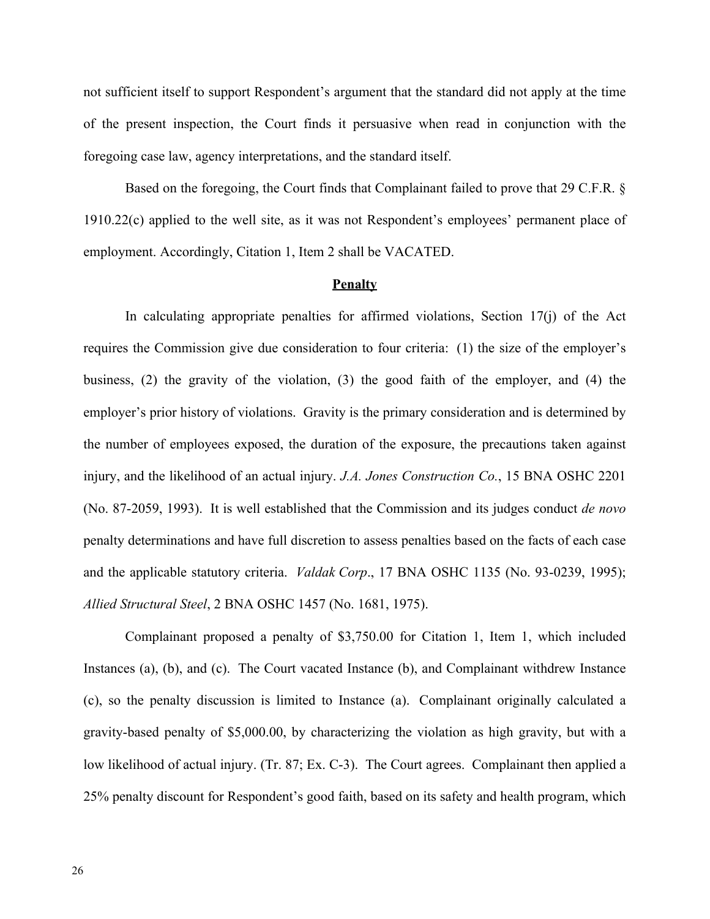not sufficient itself to support Respondent's argument that the standard did not apply at the time of the present inspection, the Court finds it persuasive when read in conjunction with the foregoing case law, agency interpretations, and the standard itself.

Based on the foregoing, the Court finds that Complainant failed to prove that 29 C.F.R. § 1910.22(c) applied to the well site, as it was not Respondent's employees' permanent place of employment. Accordingly, Citation 1, Item 2 shall be VACATED.

### **Penalty**

In calculating appropriate penalties for affirmed violations, Section 17(j) of the Act requires the Commission give due consideration to four criteria: (1) the size of the employer's business, (2) the gravity of the violation, (3) the good faith of the employer, and (4) the employer's prior history of violations. Gravity is the primary consideration and is determined by the number of employees exposed, the duration of the exposure, the precautions taken against injury, and the likelihood of an actual injury. *J.A. Jones Construction Co.*, 15 BNA OSHC 2201 (No. 87-2059, 1993). It is well established that the Commission and its judges conduct *de novo* penalty determinations and have full discretion to assess penalties based on the facts of each case and the applicable statutory criteria. *Valdak Corp*., 17 BNA OSHC 1135 (No. 93-0239, 1995); *Allied Structural Steel*, 2 BNA OSHC 1457 (No. 1681, 1975).

Complainant proposed a penalty of \$3,750.00 for Citation 1, Item 1, which included Instances (a), (b), and (c). The Court vacated Instance (b), and Complainant withdrew Instance (c), so the penalty discussion is limited to Instance (a). Complainant originally calculated a gravity-based penalty of \$5,000.00, by characterizing the violation as high gravity, but with a low likelihood of actual injury. (Tr. 87; Ex. C-3). The Court agrees. Complainant then applied a 25% penalty discount for Respondent's good faith, based on its safety and health program, which